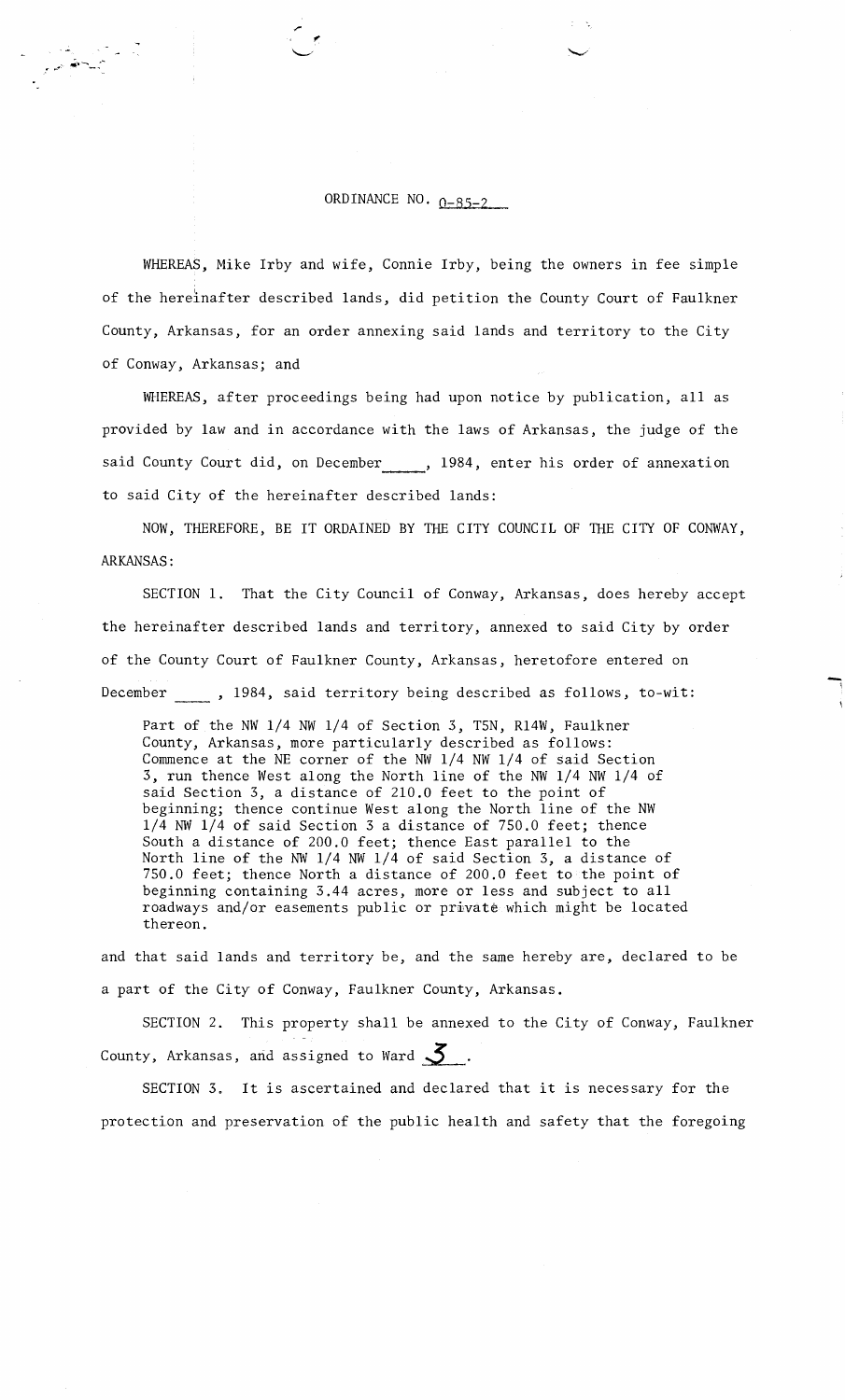# ORDINANCE NO.  $0-85-2$

WHEREAS, Mike Irby and wife, Connie Irby, being the owners in fee simple of the hereinafter described lands, did petition the County Court of Faulkner County, Arkansas, for an order annexing said lands and territory to the City of Conway, Arkansas; and

WHEREAS, after proceedings being had upon notice by publication, all as provided by law and in accordance with the laws of Arkansas, the judge of the said County Court did, on December , 1984, enter his order of annexation to said City of the hereinafter described lands:

NOW, THEREFORE, BE IT ORDAINED BY THE CITY COUNCIL OF THE CITY OF CONWAY, ARKANSAS :

SECTION 1. That the City Council of Conway, Arkansas, does hereby accept the hereinafter described lands and territory, annexed to said City by order of the County Court of Faulkner County, Arkansas, heretofore entered on December , 1984, said territory being described as follows, to-wit:

Part of the NW 1/4 NW 1/4 of Section 3, T5N, R14W, Faulkner County, Arkansas, more particularly described as follows: Commence at the NE corner of the NW 1/4 NW 1/4 of said Section 3, run thence West along the North line of the NW 1/4 NW 1/4 of said Section 3, a distance of 210.0 feet to the point of beginning; thence continue West along the North line of the NW 1/4 **NW** 1/4 of said Section 3 a distance of 750.0 feet; thence South a distance of 200.0 feet; thence East parallel to the North line of the **NW** 1/4 NW 1/4 of said Section 3, a distance of 750.0 feet; thence North a distance of 200.0 feet to the point of beginning containing 3.44 acres, more or less and subject to all roadways and/or easements public or private which might be located thereon.

and that said lands and territory be, and the same hereby are, declared to be a part of the City of Conway, Faulkner County, Arkansas.

SECTION 2. This property shall be annexed to the City of Conway, Faulkner County, Arkansas, and assigned to Ward **3** .

SECTION 3. It is ascertained and declared that it is necessary for the protection and preservation of the public health and safety that the foregoing